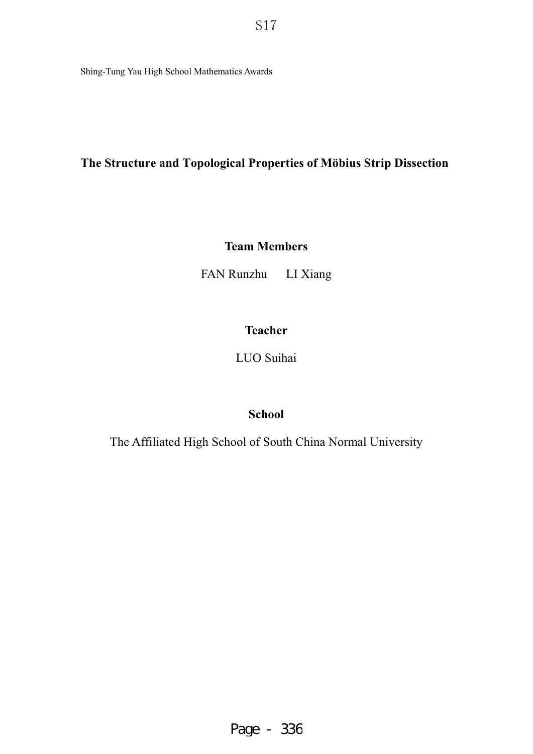Shing-Tung Yau High School Mathematics Awards

# **The Structure and Topological Properties of Möbius Strip Dissection**

# **Team Members**

FAN Runzhu LI Xiang

# **Teacher**

LUO Suihai

# **School**

The Affiliated High School of South China Normal University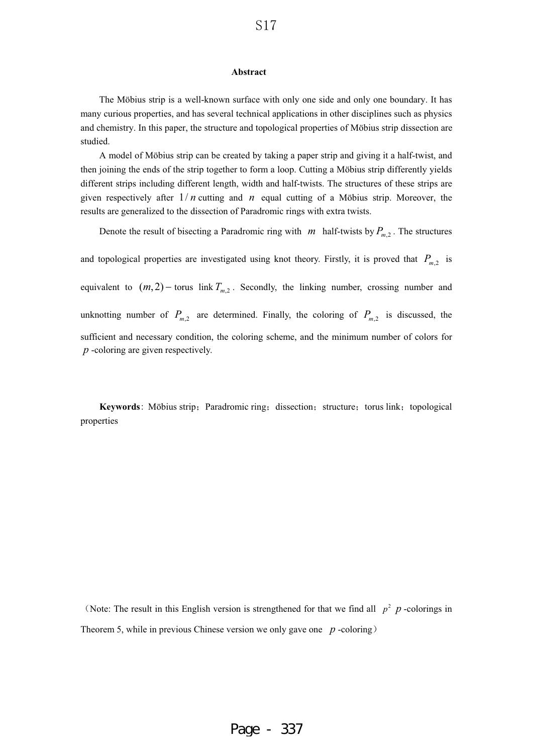#### **Abstract**

The Möbius strip is a well-known surface with only one side and only one boundary. It has many curious properties, and has several technical applications in other disciplines such as physics and chemistry. In this paper, the structure and topological properties of Möbius strip dissection are studied.

A model of Möbius strip can be created by taking a paper strip and giving it a half-twist, and then joining the ends of the strip together to form a loop. Cutting a Möbius strip differently yields different strips including different length, width and half-twists. The structures of these strips are given respectively after  $1/n$  cutting and  $n$  equal cutting of a Möbius strip. Moreover, the results are generalized to the dissection of Paradromic rings with extra twists.

Denote the result of bisecting a Paradromic ring with  $m$  half-twists by  $P_{m,2}$ . The structures and topological properties are investigated using knot theory. Firstly, it is proved that  $P_{m,2}$  is equivalent to  $(m, 2)$  - torus link  $T_{m,2}$ . Secondly, the linking number, crossing number and unknotting number of  $P_{m,2}$  are determined. Finally, the coloring of  $P_{m,2}$  is discussed, the sufficient and necessary condition, the coloring scheme, and the minimum number of colors for *p* -coloring are given respectively.

**Keywords**: Möbius strip; Paradromic ring; dissection; structure; torus link; topological properties

(Note: The result in this English version is strengthened for that we find all  $p^2$  *p* -colorings in Theorem 5, while in previous Chinese version we only gave one  $p$ -coloring)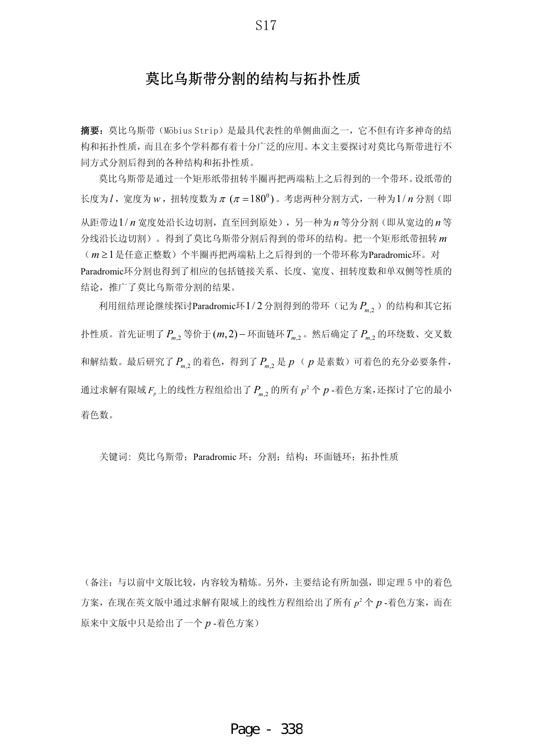# 莫比乌斯带分割的结构与拓扑性质

摘要: 莫比乌斯带(Möbius Strip) 是最具代表性的单侧曲面之一, 它不但有许多神奇的结 构和拓扑性质,而且在多个学科都有着十分广泛的应用。本文主要探讨对莫比乌斯带进行不 同方式分割后得到的各种结构和拓扑性质。

莫比乌斯带是通过一个矩形纸带扭转半圈再把两端粘上之后得到的一个带环。设纸带的 长度为 $l$ , 宽度为 $w$ , 扭转度数为 $\pi$  ( $\pi$ =180 $^0$ )。考虑两种分割方式, 一种为 $1/n$ 分割(即 从距带边1/n 宽度处沿长边切割, 直至回到原处), 另一种为n 等分分割(即从宽边的n 等 分线沿长边切割)。得到了莫比乌斯带分割后得到的带环的结构。把一个矩形纸带扭转m (m≥1是任意正整数)个半圈再把两端粘上之后得到的一个带环称为Paradromic环。对 Paradromic环分割也得到了相应的包括链接关系、长度、宽度、扭转度数和单双侧等性质的 结论, 推广了莫比乌斯带分割的结果。

利用纽结理论继续探讨Paradromic环 $1/2$ 分割得到的带环(记为 $P_{\scriptscriptstyle m,2}$ )的结构和其它拓 扑性质。首先证明了P<sub>m,2</sub> 等价于(m,2)-环面链环T<sub>m,2</sub>。然后确定了P<sub>m,2</sub> 的环绕数、交叉数 和解结数。最后研究了 P<sub>m,2</sub> 的着色,得到了 P<sub>m,2</sub> 是 p ( p 是素数)可着色的充分必要条件, 通过求解有限域*F<sub>p</sub>*上的线性方程组给出了  $P_{m,2}$  的所有  $p^2 \, \Upsilon \, P$  -着色方案,还探讨了它的最小 着色数。

关键词: 莫比乌斯带: Paradromic 环: 分割: 结构: 环面链环: 拓扑性质

(备注: 与以前中文版比较, 内容较为精炼。另外, 主要结论有所加强, 即定理 5 中的着色 方案, 在现在英文版中通过求解有限域上的线性方程组给出了所有 p<sup>2</sup> 个 p -着色方案, 而在 原来中文版中只是给出了一个 p-着色方案)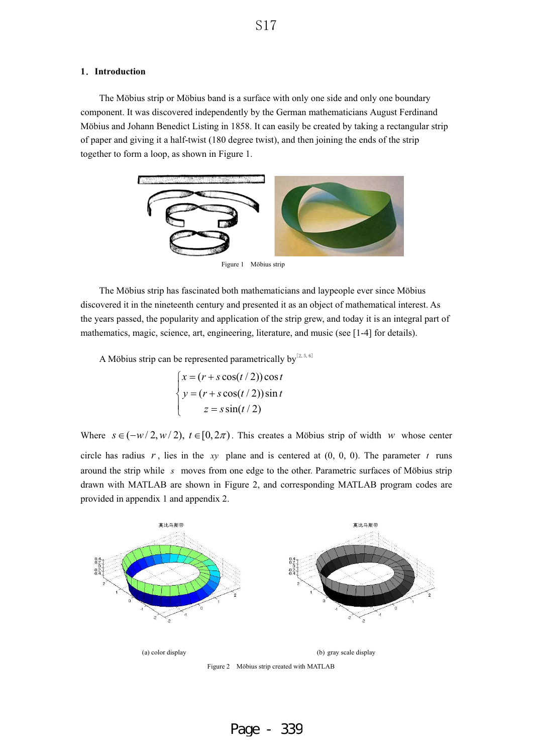### **1**ˊ**Introduction**

The Möbius strip or Möbius band is a surface with only one side and only one boundary component. It was discovered independently by the German mathematicians August Ferdinand Möbius and Johann Benedict Listing in 1858. It can easily be created by taking a rectangular strip of paper and giving it a half-twist (180 degree twist), and then joining the ends of the strip together to form a loop, as shown in Figure 1.



I

Figure 1 Möbius strip

The Möbius strip has fascinated both mathematicians and laypeople ever since Möbius discovered it in the nineteenth century and presented it as an object of mathematical interest. As the years passed, the popularity and application of the strip grew, and today it is an integral part of mathematics, magic, science, art, engineering, literature, and music (see [1-4] for details).

A Möbius strip can be represented parametrically by  $[2, 5, 6]$ 

$$
\begin{cases}\nx = (r + s \cos(t/2)) \cos t \\
y = (r + s \cos(t/2)) \sin t \\
z = s \sin(t/2)\n\end{cases}
$$

Where  $s \in (-w/2, w/2), t \in [0, 2\pi)$ . This creates a Möbius strip of width w whose center

circle has radius  $r$ , lies in the  $xy$  plane and is centered at  $(0, 0, 0)$ . The parameter  $t$  runs around the strip while *s* moves from one edge to the other. Parametric surfaces of Möbius strip drawn with MATLAB are shown in Figure 2, and corresponding MATLAB program codes are provided in appendix 1 and appendix 2.

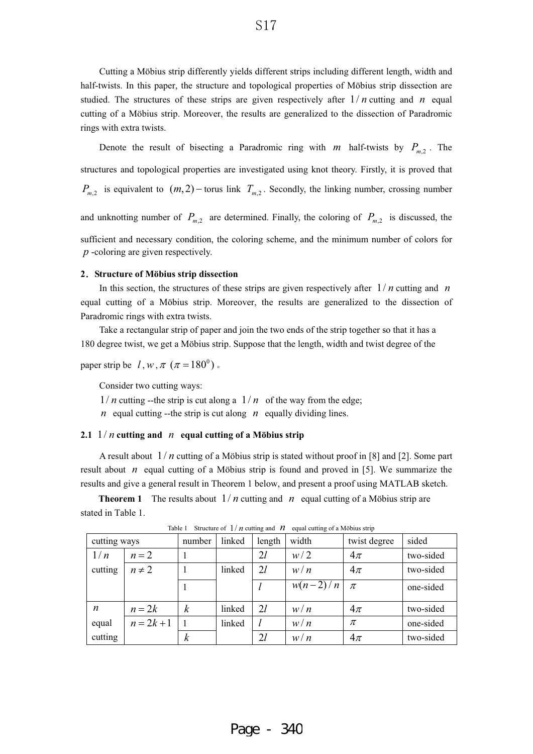Cutting a Möbius strip differently yields different strips including different length, width and half-twists. In this paper, the structure and topological properties of Möbius strip dissection are studied. The structures of these strips are given respectively after  $1/n$  cutting and  $n$  equal cutting of a Möbius strip. Moreover, the results are generalized to the dissection of Paradromic rings with extra twists.

Denote the result of bisecting a Paradromic ring with  $m$  half-twists by  $P_{m,2}$ . The structures and topological properties are investigated using knot theory. Firstly, it is proved that  $P_{m,2}$  is equivalent to  $(m, 2)$  - torus link  $T_{m,2}$ . Secondly, the linking number, crossing number and unknotting number of  $P_{m,2}$  are determined. Finally, the coloring of  $P_{m,2}$  is discussed, the sufficient and necessary condition, the coloring scheme, and the minimum number of colors for *p* -coloring are given respectively.

#### **2**ˊ**Structure of Möbius strip dissection**

In this section, the structures of these strips are given respectively after  $1/n$  cutting and n equal cutting of a Möbius strip. Moreover, the results are generalized to the dissection of Paradromic rings with extra twists.

Take a rectangular strip of paper and join the two ends of the strip together so that it has a 180 degree twist, we get a Möbius strip. Suppose that the length, width and twist degree of the

paper strip be  $l, w, \pi \ (\pi = 180^\circ)$ .

Consider two cutting ways:

 $1/n$  cutting --the strip is cut along a  $1/n$  of the way from the edge;

*n* equal cutting --the strip is cut along  $n$  equally dividing lines.

### **2.1**  $1/n$  cutting and  $n$  equal cutting of a Möbius strip

A result about  $1/n$  cutting of a Möbius strip is stated without proof in [8] and [2]. Some part result about  $n$  equal cutting of a Möbius strip is found and proved in [5]. We summarize the results and give a general result in Theorem 1 below, and present a proof using MATLAB sketch.

**Theorem 1** The results about  $1/n$  cutting and  $n$  equal cutting of a Möbius strip are stated in Table 1.

| cutting ways     |              | number           | linked | length | width      | twist degree | sided     |
|------------------|--------------|------------------|--------|--------|------------|--------------|-----------|
| 1/n              | $n=2$        |                  |        | 21     | w/2        | $4\pi$       | two-sided |
| cutting          | $n \neq 2$   |                  | linked | 2l     | w/n        | $4\pi$       | two-sided |
|                  |              |                  |        |        | $w(n-2)/n$ | $\pi$        | one-sided |
| $\boldsymbol{n}$ | $n = 2k$     | $\boldsymbol{k}$ | linked | 21     | w/n        | $4\pi$       | two-sided |
| equal            | $n = 2k + 1$ |                  | linked |        | w/n        | $\pi$        | one-sided |
| cutting          |              | $\boldsymbol{k}$ |        | 2l     | W/n        | $4\pi$       | two-sided |

Table 1 Structure of  $1/n$  cutting and  $n$  equal cutting of a Möbius strip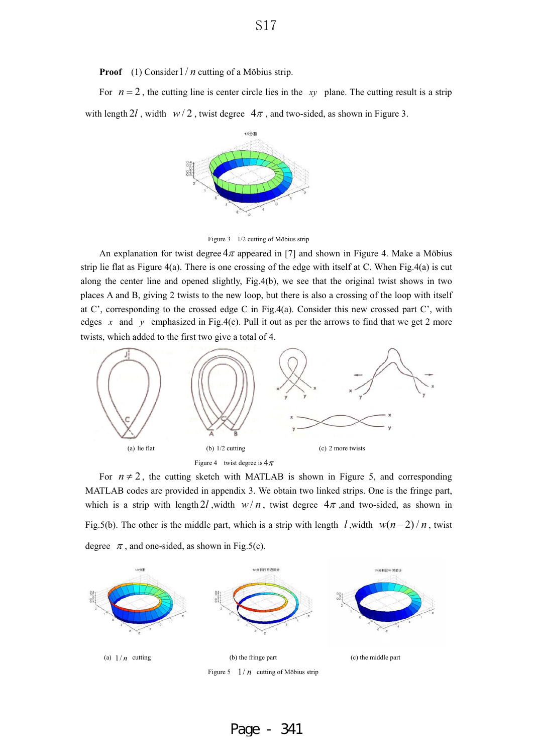**Proof** (1) Consider1/*n* cutting of a Möbius strip.

For  $n = 2$ , the cutting line is center circle lies in the *xy* plane. The cutting result is a strip with length  $2l$ , width  $w/2$ , twist degree  $4\pi$ , and two-sided, as shown in Figure 3.



Figure 3 1/2 cutting of Möbius strip

An explanation for twist degree  $4\pi$  appeared in [7] and shown in Figure 4. Make a Möbius strip lie flat as Figure 4(a). There is one crossing of the edge with itself at C. When Fig.4(a) is cut along the center line and opened slightly, Fig.4(b), we see that the original twist shows in two places A and B, giving 2 twists to the new loop, but there is also a crossing of the loop with itself at C', corresponding to the crossed edge C in Fig.4(a). Consider this new crossed part C', with edges x and y emphasized in Fig.4(c). Pull it out as per the arrows to find that we get 2 more twists, which added to the first two give a total of 4.



For  $n \neq 2$ , the cutting sketch with MATLAB is shown in Figure 5, and corresponding MATLAB codes are provided in appendix 3. We obtain two linked strips. One is the fringe part, which is a strip with length 2l, width  $w/n$ , twist degree  $4\pi$ , and two-sided, as shown in Fig.5(b). The other is the middle part, which is a strip with length  $l$ , width  $w(n-2)/n$ , twist degree  $\pi$ , and one-sided, as shown in Fig.5(c).



Page - 341

S<sub>17</sub>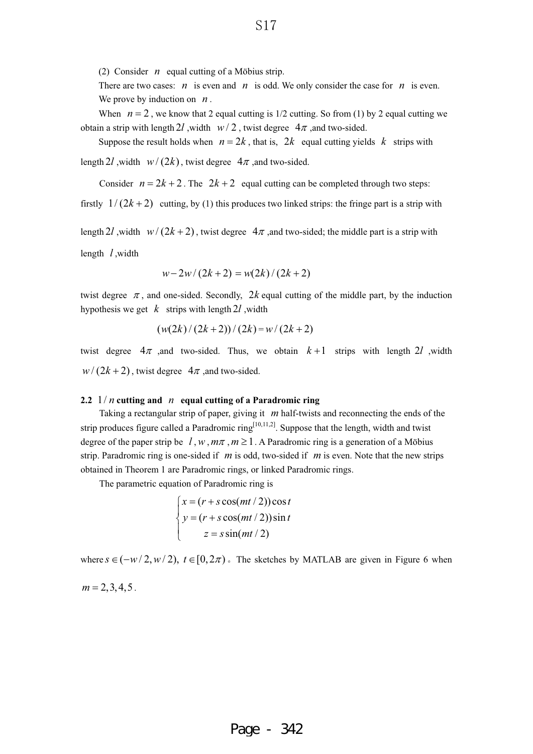(2) Consider  $n$  equal cutting of a Möbius strip.

There are two cases:  $n$  is even and  $n$  is odd. We only consider the case for  $n$  is even. We prove by induction on  $n$ .

When  $n = 2$ , we know that 2 equal cutting is  $1/2$  cutting. So from (1) by 2 equal cutting we obtain a strip with length 2l, width  $w/2$ , twist degree  $4\pi$ , and two-sided.

Suppose the result holds when  $n = 2k$ , that is,  $2k$  equal cutting yields k strips with length 2*l*, width  $w/(2k)$ , twist degree  $4\pi$ , and two-sided.

Consider  $n = 2k + 2$ . The  $2k + 2$  equal cutting can be completed through two steps:

firstly  $1/(2k+2)$  cutting, by (1) this produces two linked strips: the fringe part is a strip with

length 2*l*, width  $w/(2k+2)$ , twist degree  $4\pi$ , and two-sided; the middle part is a strip with length *l*, width

$$
w - 2w/(2k + 2) = w(2k)/(2k + 2)
$$

twist degree  $\pi$ , and one-sided. Secondly, 2k equal cutting of the middle part, by the induction hypothesis we get  $k$  strips with length 2*l*, width

$$
(w(2k)/(2k+2))/(2k) = w/(2k+2)
$$

twist degree  $4\pi$ , and two-sided. Thus, we obtain  $k+1$  strips with length 2*l*, width  $w/(2k+2)$ , twist degree  $4\pi$ , and two-sided.

### **2.2**  $1/n$  cutting and n equal cutting of a Paradromic ring

Taking a rectangular strip of paper, giving it m half-twists and reconnecting the ends of the strip produces figure called a Paradromic ring<sup>[10,11,2]</sup>. Suppose that the length, width and twist degree of the paper strip be  $l, w, m\pi, m \ge 1$ . A Paradromic ring is a generation of a Möbius strip. Paradromic ring is one-sided if  $m$  is odd, two-sided if  $m$  is even. Note that the new strips obtained in Theorem 1 are Paradromic rings, or linked Paradromic rings.

The parametric equation of Paradromic ring is

$$
\begin{cases}\nx = (r + s \cos(mt / 2)) \cos t \\
y = (r + s \cos(mt / 2)) \sin t \\
z = s \sin(mt / 2)\n\end{cases}
$$

where  $s \in (-w/2, w/2), t \in [0, 2\pi)$ . The sketches by MATLAB are given in Figure 6 when

 $m = 2, 3, 4, 5$ .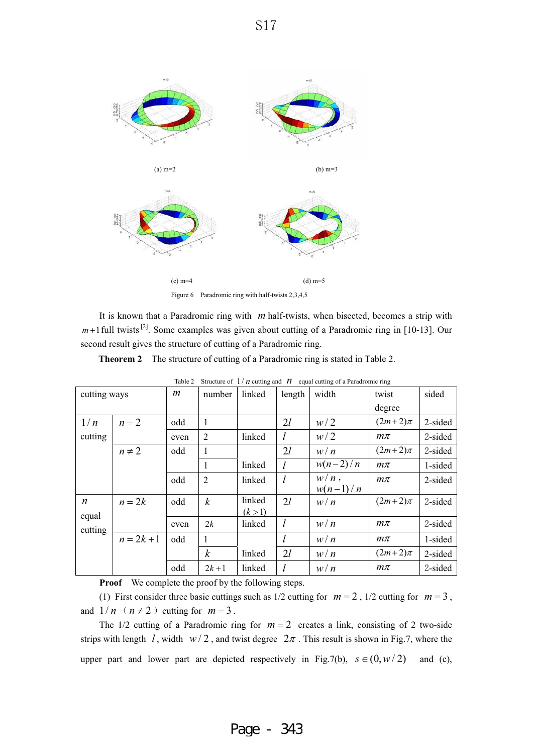

It is known that a Paradromic ring with m half-twists, when bisected, becomes a strip with  $m+1$  full twists <sup>[2]</sup>. Some examples was given about cutting of a Paradromic ring in [10-13]. Our second result gives the structure of cutting of a Paradromic ring.

**Theorem 2** The structure of cutting of a Paradromic ring is stated in Table 2.

|                  | 14010 L<br>$\frac{1}{2}$ of $\frac{1}{2}$ $\frac{1}{2}$ $\frac{1}{2}$ cutting and $\frac{1}{2}$ counting of a randomne ring |                |                  |         |        |            |             |         |
|------------------|-----------------------------------------------------------------------------------------------------------------------------|----------------|------------------|---------|--------|------------|-------------|---------|
| cutting ways     |                                                                                                                             | $\mathfrak{m}$ | number           | linked  | length | width      | twist       | sided   |
|                  |                                                                                                                             |                |                  |         |        |            | degree      |         |
| 1/n              | $n=2$                                                                                                                       | odd            |                  |         | 2l     | w/2        | $(2m+2)\pi$ | 2-sided |
| cutting          |                                                                                                                             | even           | 2                | linked  |        | w/2        | $m\pi$      | 2-sided |
|                  | $n \neq 2$                                                                                                                  | odd            |                  |         | 2l     | w/n        | $(2m+2)\pi$ | 2-sided |
|                  |                                                                                                                             |                | 1                | linked  |        | $w(n-2)/n$ | $m\pi$      | 1-sided |
|                  |                                                                                                                             | odd            | $\overline{2}$   | linked  |        | $w/n$ ,    | $m\pi$      | 2-sided |
|                  |                                                                                                                             |                |                  |         |        | $w(n-1)/n$ |             |         |
| $\boldsymbol{n}$ | $n=2k$                                                                                                                      | odd            | $\boldsymbol{k}$ | linked  | 2l     | w/n        | $(2m+2)\pi$ | 2-sided |
| equal            |                                                                                                                             |                |                  | (k > 1) |        |            |             |         |
| cutting          |                                                                                                                             | even           | 2k               | linked  | l      | w/n        | $m\pi$      | 2-sided |
|                  | $n = 2k + 1$                                                                                                                | odd            | 1                |         |        | w/n        | $m\pi$      | 1-sided |
|                  |                                                                                                                             |                | $\boldsymbol{k}$ | linked  | 2l     | w/n        | $(2m+2)\pi$ | 2-sided |
|                  |                                                                                                                             | odd            | $2k + 1$         | linked  |        | w/n        | $m\pi$      | 2-sided |

|  |  |  | Table 2 Structure of $1/n$ cutting and $n$ equal cutting of a Paradromic ring |  |
|--|--|--|-------------------------------------------------------------------------------|--|
|  |  |  |                                                                               |  |

**Proof** We complete the proof by the following steps.

(1) First consider three basic cuttings such as  $1/2$  cutting for  $m = 2$ ,  $1/2$  cutting for  $m = 3$ , and  $1/n$  ( $n \neq 2$ ) cutting for  $m = 3$ .

The  $1/2$  cutting of a Paradromic ring for  $m = 2$  creates a link, consisting of 2 two-side strips with length  $l$ , width  $w/2$ , and twist degree  $2\pi$ . This result is shown in Fig.7, where the upper part and lower part are depicted respectively in Fig.7(b),  $s \in (0, w/2)$  and (c),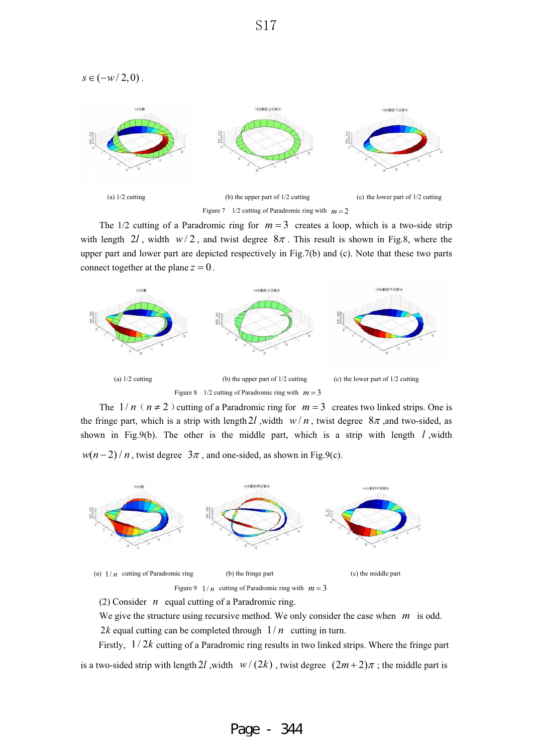$s \in (-w/2,0)$ .



The  $1/2$  cutting of a Paradromic ring for  $m = 3$  creates a loop, which is a two-side strip with length  $2l$ , width  $w/2$ , and twist degree  $8\pi$ . This result is shown in Fig.8, where the upper part and lower part are depicted respectively in Fig.7(b) and (c). Note that these two parts connect together at the plane  $z = 0$ .



The  $1/n$  ( $n \neq 2$ ) cutting of a Paradromic ring for  $m=3$  creates two linked strips. One is the fringe part, which is a strip with length 2*l*, width  $w/n$ , twist degree  $8\pi$ , and two-sided, as shown in Fig.9(b). The other is the middle part, which is a strip with length *l* ,width  $w(n-2)/n$ , twist degree  $3\pi$ , and one-sided, as shown in Fig.9(c).



We give the structure using recursive method. We only consider the case when  $m$  is odd. 2*k* equal cutting can be completed through  $1/n$  cutting in turn.

Firstly,  $1/2k$  cutting of a Paradromic ring results in two linked strips. Where the fringe part is a two-sided strip with length 2*l*, width  $w/(2k)$ , twist degree  $(2m+2)\pi$ ; the middle part is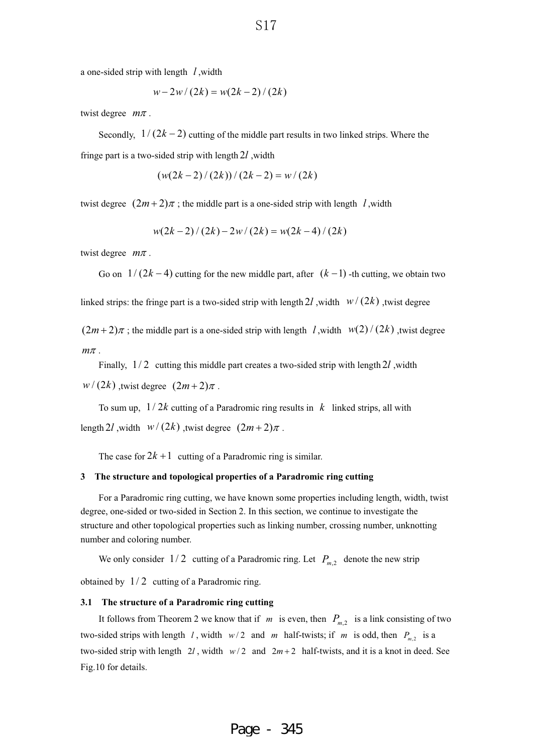a one-sided strip with length  $l$ , width

$$
w - 2w/(2k) = w(2k - 2)/(2k)
$$

twist degree  $m\pi$ .

Secondly,  $1/(2k-2)$  cutting of the middle part results in two linked strips. Where the

fringe part is a two-sided strip with length  $2l$ , width

$$
(w(2k-2)/(2k))/(2k-2) = w/(2k)
$$

twist degree  $(2m+2)\pi$ ; the middle part is a one-sided strip with length l, width

$$
w(2k-2)/(2k)-2w/(2k) = w(2k-4)/(2k)
$$

twist degree  $m\pi$ .

Go on  $1/(2k-4)$  cutting for the new middle part, after  $(k-1)$  -th cutting, we obtain two

linked strips: the fringe part is a two-sided strip with length 2*l*, width  $w/(2k)$ , twist degree

 $(2m+2)\pi$ ; the middle part is a one-sided strip with length *l*, width  $w(2) / (2k)$ , twist degree  $m\pi$  .

Finally,  $1/2$  cutting this middle part creates a two-sided strip with length 2*l*, width

 $w/(2k)$ , twist degree  $(2m+2)\pi$ .

To sum up,  $1/2k$  cutting of a Paradromic ring results in  $k$  linked strips, all with

length 2*l*, width  $w/(2k)$ , twist degree  $(2m+2)\pi$ .

The case for  $2k+1$  cutting of a Paradromic ring is similar.

#### **3 The structure and topological properties of a Paradromic ring cutting**

For a Paradromic ring cutting, we have known some properties including length, width, twist degree, one-sided or two-sided in Section 2. In this section, we continue to investigate the structure and other topological properties such as linking number, crossing number, unknotting number and coloring number.

We only consider  $1/2$  cutting of a Paradromic ring. Let  $P_{m,2}$  denote the new strip

obtained by  $1/2$  cutting of a Paradromic ring.

#### **3.1 The structure of a Paradromic ring cutting**

It follows from Theorem 2 we know that if  $m$  is even, then  $P_{m,2}$  is a link consisting of two two-sided strips with length 1, width  $w/2$  and m half-twists; if m is odd, then  $P_{m,2}$  is a two-sided strip with length  $2l$ , width  $w/2$  and  $2m+2$  half-twists, and it is a knot in deed. See Fig.10 for details.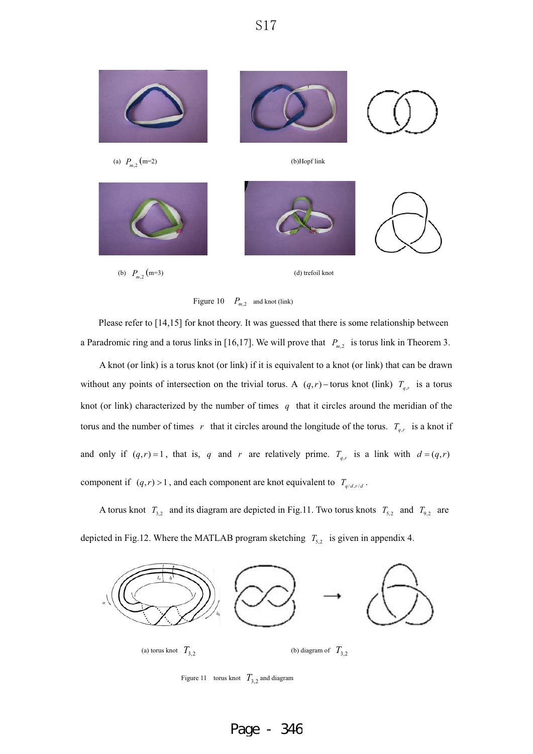



Please refer to [14,15] for knot theory. It was guessed that there is some relationship between a Paradromic ring and a torus links in [16,17]. We will prove that  $P_{m,2}$  is torus link in Theorem 3.

A knot (or link) is a torus knot (or link) if it is equivalent to a knot (or link) that can be drawn without any points of intersection on the trivial torus. A  $(q,r)$  -torus knot (link)  $T_{q,r}$  is a torus knot (or link) characterized by the number of times  $q$  that it circles around the meridian of the torus and the number of times r that it circles around the longitude of the torus.  $T_{q,r}$  is a knot if and only if  $(q, r) = 1$ , that is, q and r are relatively prime.  $T_{q,r}$  is a link with  $d = (q, r)$ component if  $(q, r) > 1$ , and each component are knot equivalent to  $T_{q/d, r/d}$ .

A torus knot  $T_{3,2}$  and its diagram are depicted in Fig.11. Two torus knots  $T_{5,2}$  and  $T_{9,2}$  are depicted in Fig.12. Where the MATLAB program sketching  $T_{5,2}$  is given in appendix 4.



Figure 11 torus knot  $T_{3,2}$  and diagram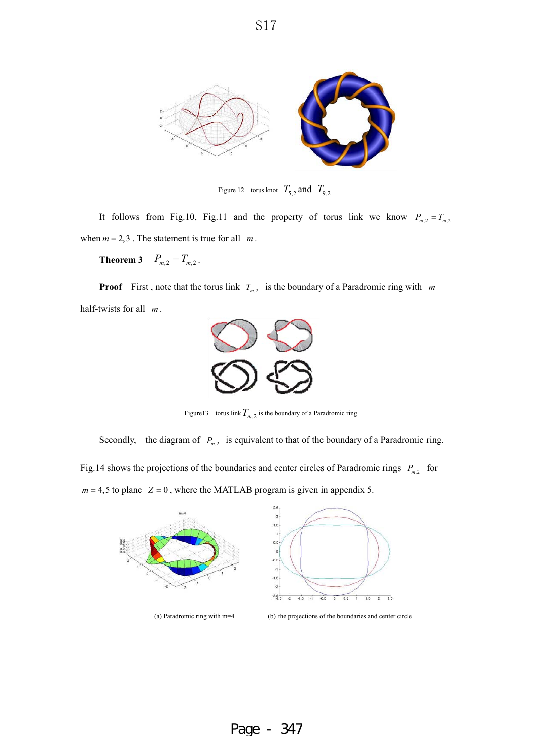

Figure 12 torus knot  $T_{5,2}$  and  $T_{9,2}$ 

It follows from Fig.10, Fig.11 and the property of torus link we know  $P_{m,2} = T_{m,2}$ when  $m = 2, 3$ . The statement is true for all  $m$ .

**Theorem 3**  $P_{m,2} = T_{m,2}$ .

**Proof** First, note that the torus link  $T_{m,2}$  is the boundary of a Paradromic ring with m half-twists for all m.



Figure13 torus link  $T_{m,2}$  is the boundary of a Paradromic ring

Secondly, the diagram of  $P_{m,2}$  is equivalent to that of the boundary of a Paradromic ring.

Fig.14 shows the projections of the boundaries and center circles of Paradromic rings  $P_{m,2}$  for

 $m = 4,5$  to plane  $Z = 0$ , where the MATLAB program is given in appendix 5.



(a) Paradromic ring with m=4 (b) the projections of the boundaries and center circle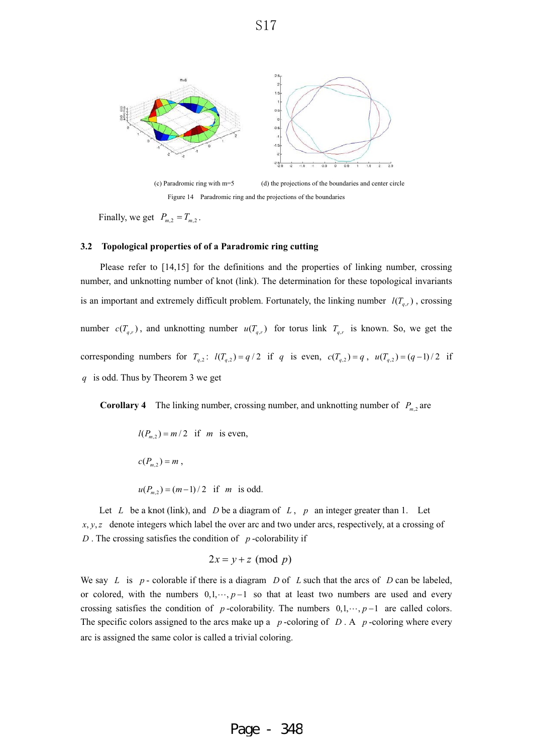

Figure 14 Paradromic ring and the projections of the boundaries

Finally, we get  $P_{m,2} = T_{m,2}$ .

### **3.2 Topological properties of of a Paradromic ring cutting**

Please refer to [14,15] for the definitions and the properties of linking number, crossing number, and unknotting number of knot (link). The determination for these topological invariants is an important and extremely difficult problem. Fortunately, the linking number  $l(T_{q,r})$ , crossing number  $c(T_{q,r})$ , and unknotting number  $u(T_{q,r})$  for torus link  $T_{q,r}$  is known. So, we get the corresponding numbers for  $T_{q,2}$ :  $l(T_{q,2}) = q/2$  if q is even,  $c(T_{q,2}) = q$ ,  $u(T_{q,2}) = (q-1)/2$  if is odd. Thus by Theorem 3 we get *q*

**Corollary 4** The linking number, crossing number, and unknotting number of  $P_{m,2}$  are

$$
l(P_{m,2}) = m/2
$$
 if *m* is even,  
 $c(P_{m,2}) = m$ ,  
 $u(P_{m,2}) = (m-1)/2$  if *m* is odd.

Let L be a knot (link), and D be a diagram of  $L$ ,  $p$  an integer greater than 1. Let  $x, y, z$  denote integers which label the over arc and two under arcs, respectively, at a crossing of D. The crossing satisfies the condition of  $p$ -colorability if

$$
2x = y + z \pmod{p}
$$

We say L is  $p$ - colorable if there is a diagram D of L such that the arcs of D can be labeled, or colored, with the numbers  $0, 1, \dots, p-1$  so that at least two numbers are used and every crossing satisfies the condition of p-colorability. The numbers  $0, 1, \dots, p-1$  are called colors. The specific colors assigned to the arcs make up a  $p$ -coloring of  $D \cdot A$   $p$ -coloring where every arc is assigned the same color is called a trivial coloring.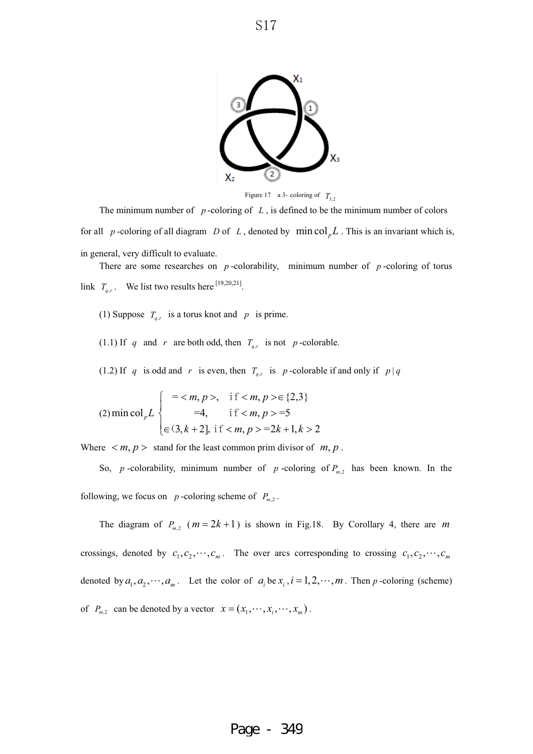

Figure 17 a 3- coloring of  $T_3$ ,

The minimum number of  $p$ -coloring of  $L$ , is defined to be the minimum number of colors for all p-coloring of all diagram D of L, denoted by  $\min \text{col}_p L$ . This is an invariant which is, in general, very difficult to evaluate.

There are some researches on  $p$ -colorability, minimum number of  $p$ -coloring of torus link  $T_{q,r}$ . We list two results here <sup>[19,20,21]</sup>.

(1) Suppose  $T_{q,r}$  is a torus knot and  $p$  is prime.

(1.1) If q and r are both odd, then  $T_{q,r}$  is not p-colorable.

(1.2) If q is odd and r is even, then  $T_{q,r}$  is p-colorable if and only if  $p|q$ 

(2) min col<sub>p</sub>L 
$$
\begin{cases}\n= , & \text{if }  \in \{2,3\} \\
=4, & \text{if }  = 5 \\
\in (3, k+2], & \text{if }  = 2k+1, k>2\n\end{cases}
$$

Where  $\langle m, p \rangle$  stand for the least common prim divisor of  $m, p$ .

So, p-colorability, minimum number of p-coloring of  $P_{m,2}$  has been known. In the following, we focus on  $p$ -coloring scheme of  $P_{m,2}$ .

The diagram of  $P_{m,2}$  ( $m = 2k + 1$ ) is shown in Fig.18. By Corollary 4, there are m crossings, denoted by  $c_1, c_2, \cdots, c_m$ . The over arcs corresponding to crossing  $c_1, c_2, \cdots, c_m$ denoted by  $a_1, a_2, \dots, a_m$ . Let the color of  $a_i$  be  $x_i$ ,  $i = 1, 2, \dots, m$ . Then p-coloring (scheme) of  $P_{m,2}$  can be denoted by a vector  $x = (x_1, \dots, x_i, \dots, x_m)$ .

S17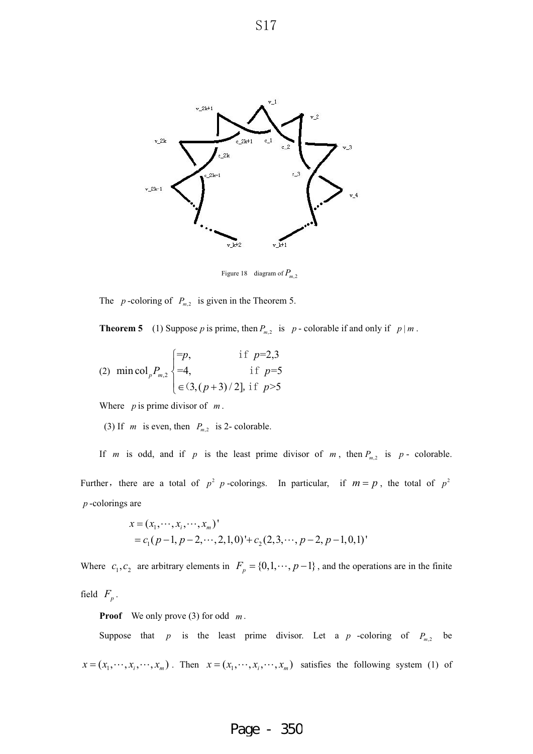

Figure 18 diagram of  $P_{m,2}$ 

The  $p$ -coloring of  $P_{m,2}$  is given in the Theorem 5.

**Theorem 5** (1) Suppose p is prime, then  $P_{m,2}$  is p - colorable if and only if  $p | m$ .

(2) 
$$
\min \text{col}_p P_{m,2}
$$
 
$$
\begin{cases} =p, & \text{if } p=2,3\\ =4, & \text{if } p=5\\ \in (3,(p+3)/2], \text{if } p>5 \end{cases}
$$

Where  $p$  is prime divisor of  $m$ .

(3) If *m* is even, then  $P_{m,2}$  is 2- colorable.

If *m* is odd, and if *p* is the least prime divisor of *m*, then  $P_{m,2}$  is *p*- colorable. Further, there are a total of  $p^2$  *p*-colorings. In particular, if  $m = p$ , the total of  $p^2$ -colorings are *p*

$$
x = (x_1, \dots, x_i, \dots, x_m)'
$$
  
=  $c_1(p-1, p-2, \dots, 2, 1, 0)$ <sup>+</sup> +  $c_2(2, 3, \dots, p-2, p-1, 0, 1)$ <sup>+</sup>

Where  $c_1, c_2$  are arbitrary elements in  $F_p = \{0, 1, \dots, p-1\}$ , and the operations are in the finite field  $F_p$ .

**Proof** We only prove (3) for odd  $m$ .

Suppose that  $p$  is the least prime divisor. Let a  $p$  -coloring of  $P_{m,2}$  be  $x = (x_1, \dots, x_i, \dots, x_m)$ . Then  $x = (x_1, \dots, x_i, \dots, x_m)$  satisfies the following system (1) of

## S17

# Page - 350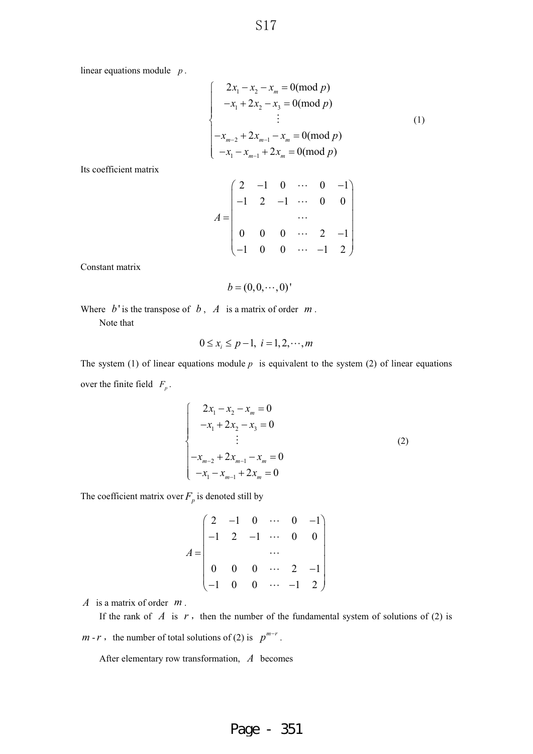linear equations module  $p$ .

$$
\begin{cases}\n2x_1 - x_2 - x_m = 0 \pmod{p} \\
-x_1 + 2x_2 - x_3 = 0 \pmod{p} \\
\vdots \\
-x_{m-2} + 2x_{m-1} - x_m = 0 \pmod{p} \\
-x_1 - x_{m-1} + 2x_m = 0 \pmod{p}\n\end{cases}
$$
\n(1)

Its coefficient matrix

$$
A = \begin{pmatrix} 2 & -1 & 0 & \cdots & 0 & -1 \\ -1 & 2 & -1 & \cdots & 0 & 0 \\ & & & \cdots & & \\ 0 & 0 & 0 & \cdots & 2 & -1 \\ -1 & 0 & 0 & \cdots & -1 & 2 \end{pmatrix}
$$

Constant matrix

 $b = (0,0,\dots,0)'$ 

Where  $b'$  is the transpose of  $b$ ,  $A'$  is a matrix of order  $m$ . Note that

$$
0 \le x_i \le p-1, \ i=1,2,\cdots,m
$$

The system (1) of linear equations module  $p$  is equivalent to the system (2) of linear equations over the finite field  $F_p$ .

$$
\begin{cases}\n2x_1 - x_2 - x_m = 0 \\
-x_1 + 2x_2 - x_3 = 0 \\
\vdots \\
-x_{m-2} + 2x_{m-1} - x_m = 0 \\
-x_1 - x_{m-1} + 2x_m = 0\n\end{cases}
$$
\n(2)

The coefficient matrix over  $F_p$  is denoted still by

$$
A = \begin{pmatrix} 2 & -1 & 0 & \cdots & 0 & -1 \\ -1 & 2 & -1 & \cdots & 0 & 0 \\ & & & \cdots & & \\ 0 & 0 & 0 & \cdots & 2 & -1 \\ -1 & 0 & 0 & \cdots & -1 & 2 \end{pmatrix}
$$

*A* is a matrix of order  $m$ .

If the rank of  $\tilde{A}$  is  $r$ , then the number of the fundamental system of solutions of (2) is  $m-r$ , the number of total solutions of (2) is  $p^{m-r}$ .

After elementary row transformation, A becomes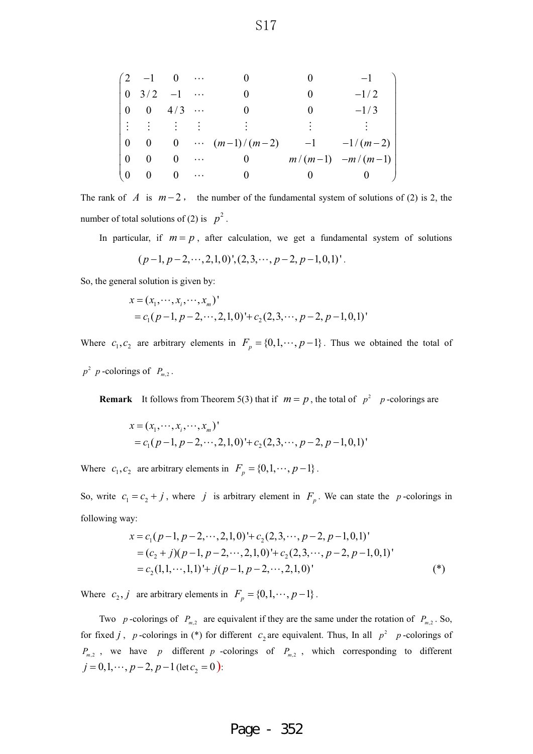|          | $\left(2 \quad -1 \quad 0 \quad \cdots \right)$ |          |          |                            |                      |
|----------|-------------------------------------------------|----------|----------|----------------------------|----------------------|
| $\theta$ | $3/2 -1$                                        |          |          | $\mathbf{0}$               | $-1/2$               |
|          | $0 \t 0 \t 4/3 \t $                             |          |          |                            | $-1/3$               |
|          | i i i i                                         |          |          |                            |                      |
| $\theta$ |                                                 |          |          | 0 0 $\cdots$ $(m-1)/(m-2)$ | $-1$ $-1/(m-2)$      |
| $\Omega$ | $\theta$                                        | $\theta$ | $\cdots$ | $\theta$                   | $m/(m-1)$ $-m/(m-1)$ |
| $\theta$ | $\bf{0}$                                        | $\theta$ | $\cdots$ |                            |                      |

The rank of  $\Lambda$  is  $m-2$ , the number of the fundamental system of solutions of (2) is 2, the number of total solutions of (2) is  $p^2$ .

In particular, if  $m = p$ , after calculation, we get a fundamental system of solutions

$$
(p-1, p-2, \dots, 2, 1, 0)
$$
,  $(2, 3, \dots, p-2, p-1, 0, 1)$ .

So, the general solution is given by:

$$
x = (x_1, \dots, x_i, \dots, x_m)'
$$
  
=  $c_1(p-1, p-2, \dots, 2, 1, 0)$ <sup>+</sup>  $c_2(2, 3, \dots, p-2, p-1, 0, 1)$ 

Where  $c_1, c_2$  are arbitrary elements in  $F_p = \{0, 1, \dots, p-1\}$ . Thus we obtained the total of  $p^2$  *p*-colorings of  $P_m$ ,

**Remark** It follows from Theorem 5(3) that if  $m = p$ , the total of  $p^2$  *p*-colorings are

$$
x = (x_1, \dots, x_i, \dots, x_m)'
$$
  
=  $c_1(p-1, p-2, \dots, 2, 1, 0)$ <sup>+</sup>  $c_2(2, 3, \dots, p-2, p-1, 0, 1)$ <sup>'</sup>

Where  $c_1, c_2$  are arbitrary elements in  $F_p = \{0, 1, \dots, p-1\}$ .

So, write  $c_1 = c_2 + j$ , where j is arbitrary element in  $F_p$ . We can state the p-colorings in following way:

$$
x = c_1(p-1, p-2, \cdots, 2, 1, 0)^+ + c_2(2, 3, \cdots, p-2, p-1, 0, 1)^
$$
  
=  $(c_2 + j)(p-1, p-2, \cdots, 2, 1, 0)^+ + c_2(2, 3, \cdots, p-2, p-1, 0, 1)^$   
=  $c_2(1, 1, \cdots, 1, 1)^+ + j(p-1, p-2, \cdots, 2, 1, 0)^$  (\*)

Where  $c_2$ , *j* are arbitrary elements in  $F_p = \{0, 1, \dots, p-1\}$ .

Two p-colorings of  $P_{m,2}$  are equivalent if they are the same under the rotation of  $P_{m,2}$ . So, for fixed *j*, *p*-colorings in (\*) for different  $c_2$  are equivalent. Thus, In all  $p^2$  *p*-colorings of  $P_{m,2}$ , we have p different p-colorings of  $P_{m,2}$ , which corresponding to different  $j = 0, 1, \dots, p-2, p-1$  (let  $c_2 = 0$ ):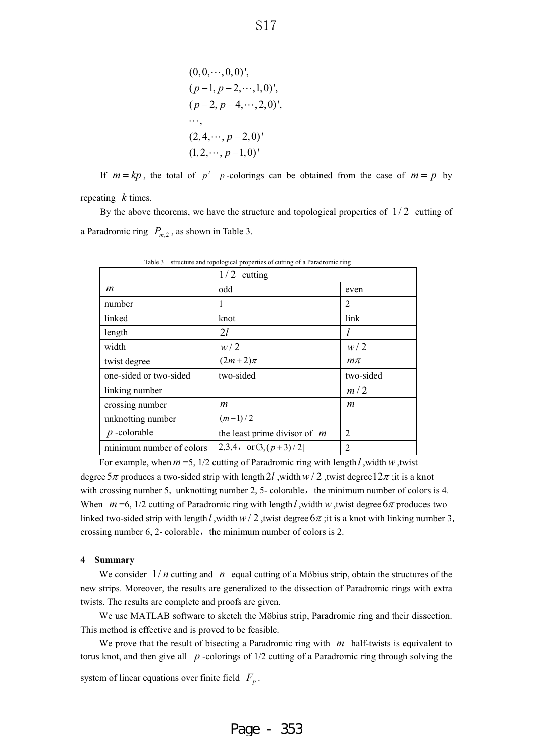$(0,0,\dots,0,0)$ ',  $(p-1, p-2, \dots, 1, 0)$ ',  $(p-2, p-4, \dots, 2, 0)$ ',  $\cdots,$  $(2, 4, \cdots, p-2, 0)'$  $(1, 2, \cdots, p-1, 0)'$ 

If  $m = kp$ , the total of  $p^2$  *p*-colorings can be obtained from the case of  $m = p$  by repeating  $k$  times.

By the above theorems, we have the structure and topological properties of  $1/2$  cutting of a Paradromic ring  $P_{m,2}$ , as shown in Table 3.

|                          | 1/2<br>cutting                 |                |
|--------------------------|--------------------------------|----------------|
| m                        | odd                            | even           |
| number                   | 1                              | 2              |
| linked                   | knot                           | link           |
| length                   | 2l                             | l              |
| width                    | w/2                            | w/2            |
| twist degree             | $(2m+2)\pi$                    | $m\pi$         |
| one-sided or two-sided   | two-sided                      | two-sided      |
| linking number           |                                | m/2            |
| crossing number          | m                              | m              |
| unknotting number        | $(m-1)/2$                      |                |
| $p$ -colorable           | the least prime divisor of $m$ | $\overline{2}$ |
| minimum number of colors | 2,3,4, or $(3,(p+3)/2]$        | $\overline{2}$ |

Table 3 structure and topological properties of cutting of a Paradromic ring

For example, when  $m = 5$ ,  $1/2$  cutting of Paradromic ring with length  $l$ , width  $w$ , twist degree  $5\pi$  produces a two-sided strip with length 2*l*, width  $w/2$ , twist degree  $12\pi$ ; it is a knot with crossing number 5, unknotting number 2, 5- colorable, the minimum number of colors is 4. When  $m = 6$ ,  $1/2$  cutting of Paradromic ring with length *l*, width w, twist degree  $6\pi$  produces two linked two-sided strip with length l, width  $w/2$ , twist degree  $6\pi$ ; it is a knot with linking number 3, crossing number 6, 2- colorable, the minimum number of colors is 2.

### **4 Summary**

We consider  $1/n$  cutting and  $n$  equal cutting of a Möbius strip, obtain the structures of the new strips. Moreover, the results are generalized to the dissection of Paradromic rings with extra twists. The results are complete and proofs are given.

We use MATLAB software to sketch the Möbius strip, Paradromic ring and their dissection. This method is effective and is proved to be feasible.

We prove that the result of bisecting a Paradromic ring with  $m$  half-twists is equivalent to torus knot, and then give all *p* -colorings of 1/2 cutting of a Paradromic ring through solving the

system of linear equations over finite field  $F_p$ .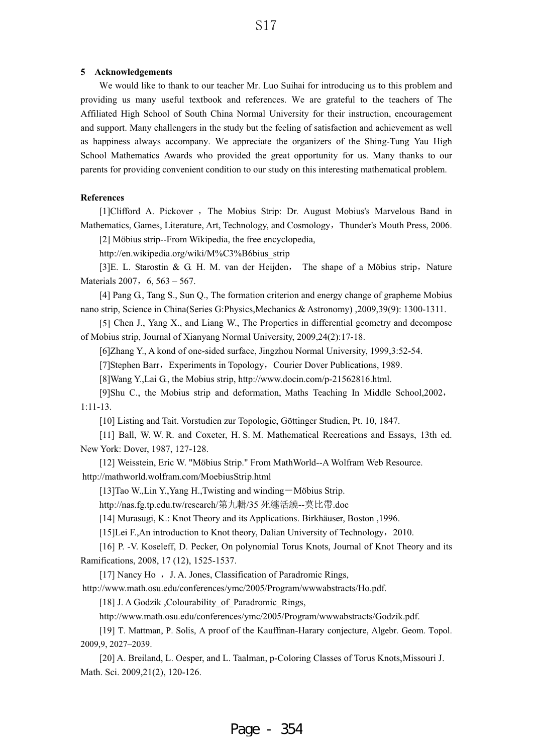### **5 Acknowledgements**

We would like to thank to our teacher Mr. Luo Suihai for introducing us to this problem and providing us many useful textbook and references. We are grateful to the teachers of The Affiliated High School of South China Normal University for their instruction, encouragement and support. Many challengers in the study but the feeling of satisfaction and achievement as well as happiness always accompany. We appreciate the organizers of the Shing-Tung Yau High School Mathematics Awards who provided the great opportunity for us. Many thanks to our parents for providing convenient condition to our study on this interesting mathematical problem.

### **References**

[1]Clifford A. Pickover, The Mobius Strip: Dr. August Mobius's Marvelous Band in Mathematics, Games, Literature, Art, Technology, and Cosmology, Thunder's Mouth Press, 2006.

[2] Möbius strip--From Wikipedia, the free encyclopedia,

http://en.wikipedia.org/wiki/M%C3%B6bius\_strip

[3] E. L. Starostin & G. H. M. van der Heijden, The shape of a Möbius strip, Nature Materials 2007,  $6, 563 - 567$ .

[4] Pang G., Tang S., Sun Q., The formation criterion and energy change of grapheme Mobius nano strip, Science in China(Series G:Physics,Mechanics & Astronomy) ,2009,39(9): 1300-1311.

[5] Chen J., Yang X., and Liang W., The Properties in differential geometry and decompose of Mobius strip, Journal of Xianyang Normal University, 2009,24(2):17-18.

[6]Zhang Y., A kond of one-sided surface, Jingzhou Normal University, 1999,3:52-54.

[7]Stephen Barr, Experiments in Topology, Courier Dover Publications, 1989.

[8]Wang Y.,Lai G., the Mobius strip, http://www.docin.com/p-21562816.html.

[9]Shu C., the Mobius strip and deformation, Maths Teaching In Middle School, 2002, 1:11-13.

[10] Listing and Tait. Vorstudien zur Topologie, Göttinger Studien, Pt. 10, 1847.

 [11] Ball, W. W. R. and Coxeter, H. S. M. Mathematical Recreations and Essays, 13th ed. New York: Dover, 1987, 127-128.

http ://mathworld.wolfram.com/MoebiusStrip.html [12] Weisstein, Eric W. "Möbius Strip." From MathWorld--A Wolfram Web Resource.

[13]Tao W.,Lin Y.,Yang H.,Twisting and winding – Möbius Strip.

http://nas.fg.tp.edu.tw/research/第九輯/35 死纏活繞--莫比帶.doc

[14] Murasugi, K.: Knot Theory and its Applications. Birkhäuser, Boston ,1996.

[15]Lei F.,An introduction to Knot theory, Dalian University of Technology, 2010.

[16] P. -V. Koseleff, D. Pecker, On polynomial Torus Knots, Journal of Knot Theory and its Ramifications, 2008, 17 (12), 1525-1537.

[17] Nancy Ho , J. A. Jones, Classification of Paradromic Rings,

http ://www.math.osu.edu/conferences/ymc/2005/Program/wwwabstracts/Ho.pdf.

[18] J. A Godzik ,Colourability of Paradromic Rings,

http://www.math.osu.edu/conferences/ymc/2005/Program/wwwabstracts/Godzik.pdf.

[19] T. Mattman, P. Solis, A proof of the Kauffman-Harary conjecture, Algebr. Geom. Topol. 2009,9, 2027–2039.

[20] A. Breiland, L. Oesper, and L. Taalman, p-Coloring Classes of Torus Knots,Missouri J. Math. Sci. 2009,21(2), 120-126.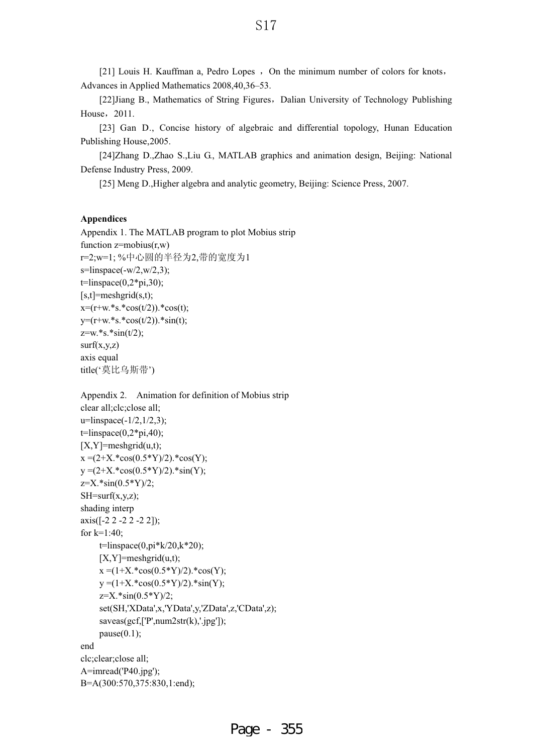[21] Louis H. Kauffman a, Pedro Lopes  $\cdot$  On the minimum number of colors for knots, Advances in Applied Mathematics 2008,40,36–53.

[22]Jiang B., Mathematics of String Figures, Dalian University of Technology Publishing House, 2011.

[23] Gan D., Concise history of algebraic and differential topology, Hunan Education Publishing House,2005.

[24]Zhang D.,Zhao S.,Liu G., MATLAB graphics and animation design, Beijing: National Defense Industry Press, 2009.

[25] Meng D.,Higher algebra and analytic geometry, Beijing: Science Press, 2007.

## **Appendices**

Appendix 1. The MATLAB program to plot Mobius strip function  $z = m \cdot (r, w)$ r=2;w=1; %中心圆的半径为2,带的宽度为1  $s=linspace(-w/2,w/2,3);$  $t=linspace(0,2*pi,30);$  $[s,t]$ =meshgrid $(s,t)$ ;  $x=(r+w.*s.*cos(t/2)).*cos(t);$  $y=(r+w.*s.*cos(t/2)).*sin(t);$  $z=w.*s.*sin(t/2);$  $surf(x,y,z)$ axis equal title('莫比乌斯带')

Appendix 2. Animation for definition of Mobius strip clear all;clc;close all;  $u=limspace(-1/2,1/2,3);$  $t=linspace(0,2*pi,40);$  $[X, Y] =$ meshgrid $(u,t)$ ;  $x = (2+X.*cos(0.5*Y)/2).*cos(Y);$  $y = (2+X.*cos(0.5*Y)/2.*sin(Y));$  $z=X.*\sin(0.5*Y)/2;$  $SH=$ surf(x,y,z); shading interp axis([-2 2 -2 2 -2 2]); for k=1:40;  $t=$ linspace(0,pi $k/20, k*20$ );  $[X, Y] =$ meshgrid $(u,t)$ ;  $x = (1+X.*cos(0.5*Y)/2).*cos(Y);$  $y = (1+X.*cos(0.5*Y)/2).*sin(Y);$  $z=X.*\sin(0.5*Y)/2;$  set(SH,'XData',x,'YData',y,'ZData',z,'CData',z); saveas(gcf,['P',num2str(k),'.jpg']); pause $(0.1)$ ; end clc;clear;close all; A=imread('P40.jpg'); B=A(300:570,375:830,1:end);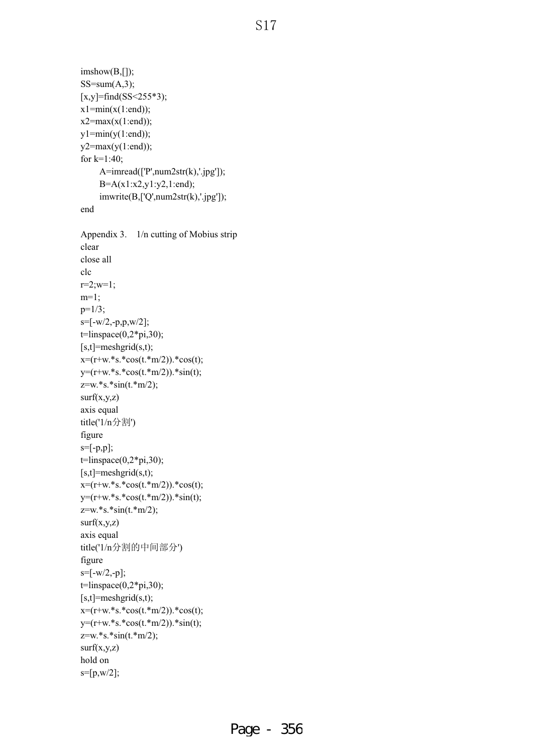# S<sub>17</sub>

```
imshow(B,[]); 
SS=sum(A,3);[x,y]=find(SS<255*3);
x1 = min(x(1:end));x2 = max(x(1:end));y1=min(y(1:end));y2 = max(y(1:end));for k=1:40; 
      A=imread(['P',num2str(k),'.jpg']); 
      B=A(x1:x2,y1:y2,1:end); 
      imwrite(B,['Q',num2str(k),'.jpg']); 
end
Appendix 3. 1/n cutting of Mobius strip 
clear 
close all 
clc 
r=2; w=1;m=1; 
p=1/3;
s=[-w/2,-p,p,w/2]; 
t=limspace(0,2*pi,30);[s,t]=meshgrid(s,t); 
x=(r+w.*s.*cos(t.*m/2)).*cos(t);y=(r+w.*s.*cos(t.*m/2)).*sin(t);z=w.*s.*sin(t.*m/2); 
surf(x,y,z)axis equal 
title('1/n分割')
figure 
s=[-p,p]; 
t=linspace(0,2*pi,30); 
[s,t]=meshgrid(s,t);
x=(r+w.*s.*cos(t.*m/2)).*cos(t);y=(r+w.*s.*cos(t.*m/2)).*sin(t);z=w.*s.*sin(t.*m/2);
surf(x,y,z)axis equal 
title('1/n分割的中间部分')
figure 
s=[-w/2,-p];t=linspace(0,2*pi,30);[s,t]=meshgrid(s,t);
x=(r+w.*s.*cos(t.*m/2)).*cos(t);y=(r+w.*s.*cos(t.*m/2)).*sin(t);z=w.*s.*sin(t.*m/2);
surf(x,y,z)hold on 
s=[p,w/2];
```